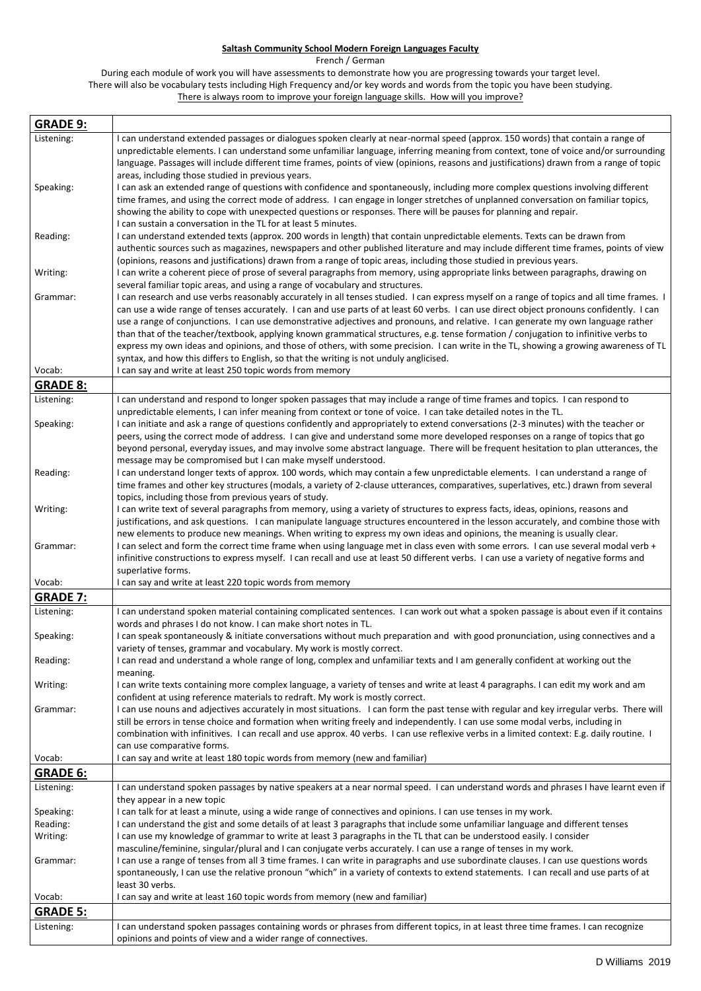## **Saltash Community School Modern Foreign Languages Faculty**

French / German

During each module of work you will have assessments to demonstrate how you are progressing towards your target level. There will also be vocabulary tests including High Frequency and/or key words and words from the topic you have been studying. There is always room to improve your foreign language skills. How will you improve?

| <b>GRADE 9:</b>         |                                                                                                                                                                                                                                                                                                                                                                                                                                                                                                                                                                                                                                                                                                                                                                                                       |
|-------------------------|-------------------------------------------------------------------------------------------------------------------------------------------------------------------------------------------------------------------------------------------------------------------------------------------------------------------------------------------------------------------------------------------------------------------------------------------------------------------------------------------------------------------------------------------------------------------------------------------------------------------------------------------------------------------------------------------------------------------------------------------------------------------------------------------------------|
| Listening:              | I can understand extended passages or dialogues spoken clearly at near-normal speed (approx. 150 words) that contain a range of<br>unpredictable elements. I can understand some unfamiliar language, inferring meaning from context, tone of voice and/or surrounding<br>language. Passages will include different time frames, points of view (opinions, reasons and justifications) drawn from a range of topic<br>areas, including those studied in previous years.                                                                                                                                                                                                                                                                                                                               |
| Speaking:               | I can ask an extended range of questions with confidence and spontaneously, including more complex questions involving different<br>time frames, and using the correct mode of address. I can engage in longer stretches of unplanned conversation on familiar topics,<br>showing the ability to cope with unexpected questions or responses. There will be pauses for planning and repair.<br>I can sustain a conversation in the TL for at least 5 minutes.                                                                                                                                                                                                                                                                                                                                         |
| Reading:                | I can understand extended texts (approx. 200 words in length) that contain unpredictable elements. Texts can be drawn from<br>authentic sources such as magazines, newspapers and other published literature and may include different time frames, points of view<br>(opinions, reasons and justifications) drawn from a range of topic areas, including those studied in previous years.                                                                                                                                                                                                                                                                                                                                                                                                            |
| Writing:                | I can write a coherent piece of prose of several paragraphs from memory, using appropriate links between paragraphs, drawing on<br>several familiar topic areas, and using a range of vocabulary and structures.                                                                                                                                                                                                                                                                                                                                                                                                                                                                                                                                                                                      |
| Grammar:                | I can research and use verbs reasonably accurately in all tenses studied. I can express myself on a range of topics and all time frames. I<br>can use a wide range of tenses accurately. I can and use parts of at least 60 verbs. I can use direct object pronouns confidently. I can<br>use a range of conjunctions. I can use demonstrative adjectives and pronouns, and relative. I can generate my own language rather<br>than that of the teacher/textbook, applying known grammatical structures, e.g. tense formation / conjugation to infinitive verbs to<br>express my own ideas and opinions, and those of others, with some precision. I can write in the TL, showing a growing awareness of TL<br>syntax, and how this differs to English, so that the writing is not unduly anglicised. |
| Vocab:                  | I can say and write at least 250 topic words from memory                                                                                                                                                                                                                                                                                                                                                                                                                                                                                                                                                                                                                                                                                                                                              |
| <b>GRADE 8:</b>         |                                                                                                                                                                                                                                                                                                                                                                                                                                                                                                                                                                                                                                                                                                                                                                                                       |
| Listening:<br>Speaking: | I can understand and respond to longer spoken passages that may include a range of time frames and topics. I can respond to<br>unpredictable elements, I can infer meaning from context or tone of voice. I can take detailed notes in the TL.<br>I can initiate and ask a range of questions confidently and appropriately to extend conversations (2-3 minutes) with the teacher or<br>peers, using the correct mode of address. I can give and understand some more developed responses on a range of topics that go<br>beyond personal, everyday issues, and may involve some abstract language. There will be frequent hesitation to plan utterances, the<br>message may be compromised but I can make myself understood.                                                                        |
| Reading:                | I can understand longer texts of approx. 100 words, which may contain a few unpredictable elements. I can understand a range of<br>time frames and other key structures (modals, a variety of 2-clause utterances, comparatives, superlatives, etc.) drawn from several<br>topics, including those from previous years of study.                                                                                                                                                                                                                                                                                                                                                                                                                                                                      |
| Writing:                | I can write text of several paragraphs from memory, using a variety of structures to express facts, ideas, opinions, reasons and<br>justifications, and ask questions. I can manipulate language structures encountered in the lesson accurately, and combine those with<br>new elements to produce new meanings. When writing to express my own ideas and opinions, the meaning is usually clear.                                                                                                                                                                                                                                                                                                                                                                                                    |
| Grammar:                | I can select and form the correct time frame when using language met in class even with some errors. I can use several modal verb +<br>infinitive constructions to express myself. I can recall and use at least 50 different verbs. I can use a variety of negative forms and<br>superlative forms.                                                                                                                                                                                                                                                                                                                                                                                                                                                                                                  |
| Vocab:                  | I can say and write at least 220 topic words from memory                                                                                                                                                                                                                                                                                                                                                                                                                                                                                                                                                                                                                                                                                                                                              |
| <b>GRADE 7:</b>         |                                                                                                                                                                                                                                                                                                                                                                                                                                                                                                                                                                                                                                                                                                                                                                                                       |
| Listening:              | I can understand spoken material containing complicated sentences. I can work out what a spoken passage is about even if it contains<br>words and phrases I do not know. I can make short notes in TL.                                                                                                                                                                                                                                                                                                                                                                                                                                                                                                                                                                                                |
| Speaking:               | I can speak spontaneously & initiate conversations without much preparation and with good pronunciation, using connectives and a<br>variety of tenses, grammar and vocabulary. My work is mostly correct.                                                                                                                                                                                                                                                                                                                                                                                                                                                                                                                                                                                             |
| Reading:                | I can read and understand a whole range of long, complex and unfamiliar texts and I am generally confident at working out the<br>meaning.                                                                                                                                                                                                                                                                                                                                                                                                                                                                                                                                                                                                                                                             |
| Writing:                | I can write texts containing more complex language, a variety of tenses and write at least 4 paragraphs. I can edit my work and am<br>confident at using reference materials to redraft. My work is mostly correct.                                                                                                                                                                                                                                                                                                                                                                                                                                                                                                                                                                                   |
| Grammar:                | I can use nouns and adjectives accurately in most situations. I can form the past tense with regular and key irregular verbs. There will<br>still be errors in tense choice and formation when writing freely and independently. I can use some modal verbs, including in<br>combination with infinitives. I can recall and use approx. 40 verbs. I can use reflexive verbs in a limited context: E.g. daily routine. I<br>can use comparative forms.                                                                                                                                                                                                                                                                                                                                                 |
| Vocab:                  | I can say and write at least 180 topic words from memory (new and familiar)                                                                                                                                                                                                                                                                                                                                                                                                                                                                                                                                                                                                                                                                                                                           |
| <b>GRADE 6:</b>         |                                                                                                                                                                                                                                                                                                                                                                                                                                                                                                                                                                                                                                                                                                                                                                                                       |
| Listening:              | I can understand spoken passages by native speakers at a near normal speed. I can understand words and phrases I have learnt even if                                                                                                                                                                                                                                                                                                                                                                                                                                                                                                                                                                                                                                                                  |
| Speaking:               | they appear in a new topic<br>I can talk for at least a minute, using a wide range of connectives and opinions. I can use tenses in my work.                                                                                                                                                                                                                                                                                                                                                                                                                                                                                                                                                                                                                                                          |
| Reading:                | I can understand the gist and some details of at least 3 paragraphs that include some unfamiliar language and different tenses                                                                                                                                                                                                                                                                                                                                                                                                                                                                                                                                                                                                                                                                        |
| Writing:                | I can use my knowledge of grammar to write at least 3 paragraphs in the TL that can be understood easily. I consider                                                                                                                                                                                                                                                                                                                                                                                                                                                                                                                                                                                                                                                                                  |
|                         | masculine/feminine, singular/plural and I can conjugate verbs accurately. I can use a range of tenses in my work.                                                                                                                                                                                                                                                                                                                                                                                                                                                                                                                                                                                                                                                                                     |
| Grammar:                | I can use a range of tenses from all 3 time frames. I can write in paragraphs and use subordinate clauses. I can use questions words<br>spontaneously, I can use the relative pronoun "which" in a variety of contexts to extend statements. I can recall and use parts of at<br>least 30 verbs.                                                                                                                                                                                                                                                                                                                                                                                                                                                                                                      |
| Vocab:                  | I can say and write at least 160 topic words from memory (new and familiar)                                                                                                                                                                                                                                                                                                                                                                                                                                                                                                                                                                                                                                                                                                                           |
| <b>GRADE 5:</b>         |                                                                                                                                                                                                                                                                                                                                                                                                                                                                                                                                                                                                                                                                                                                                                                                                       |
| Listening:              | I can understand spoken passages containing words or phrases from different topics, in at least three time frames. I can recognize                                                                                                                                                                                                                                                                                                                                                                                                                                                                                                                                                                                                                                                                    |
|                         | opinions and points of view and a wider range of connectives.                                                                                                                                                                                                                                                                                                                                                                                                                                                                                                                                                                                                                                                                                                                                         |